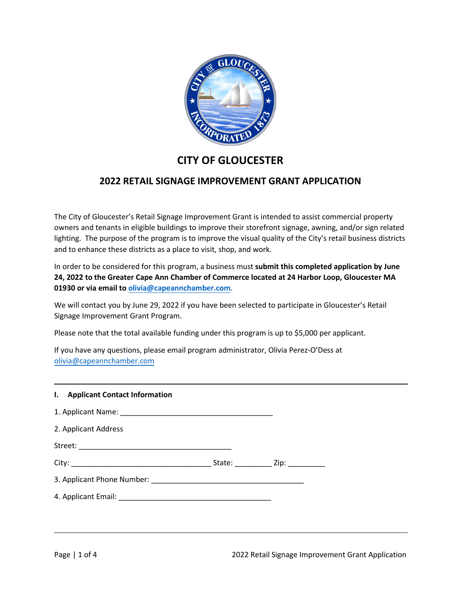

## **CITY OF GLOUCESTER**

## **2022 RETAIL SIGNAGE IMPROVEMENT GRANT APPLICATION**

The City of Gloucester's Retail Signage Improvement Grant is intended to assist commercial property owners and tenants in eligible buildings to improve their storefront signage, awning, and/or sign related lighting. The purpose of the program is to improve the visual quality of the City's retail business districts and to enhance these districts as a place to visit, shop, and work.

In order to be considered for this program, a business must **submit this completed application by June 24, 2022 to the Greater Cape Ann Chamber of Commerce located at 24 Harbor Loop, Gloucester MA 01930 or via email to [olivia@capeannchamber.com](mailto:olivia@capeannchamber.com)**.

We will contact you by June 29, 2022 if you have been selected to participate in Gloucester's Retail Signage Improvement Grant Program.

Please note that the total available funding under this program is up to \$5,000 per applicant.

If you have any questions, please email program administrator, Olivia Perez-O'Dess at [olivia@capeannchamber.com](mailto:olivia@capeannchamber.com)

## **I. Applicant Contact Information**

| 2. Applicant Address |  |
|----------------------|--|
|                      |  |
|                      |  |
|                      |  |
|                      |  |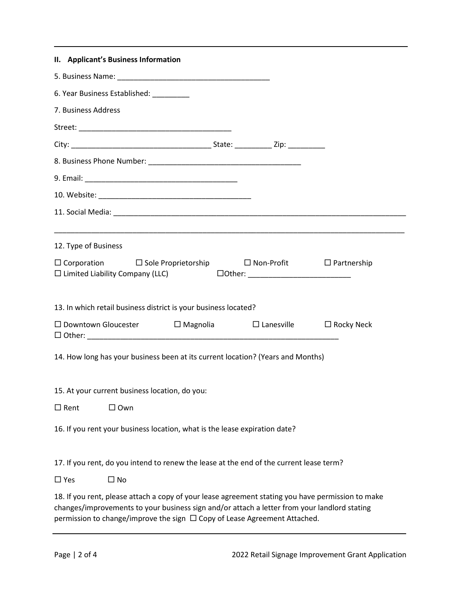|                                                                                                                                                                     | II. Applicant's Business Information                                                                                                                                                                                                                                                |  |                      |                   |
|---------------------------------------------------------------------------------------------------------------------------------------------------------------------|-------------------------------------------------------------------------------------------------------------------------------------------------------------------------------------------------------------------------------------------------------------------------------------|--|----------------------|-------------------|
|                                                                                                                                                                     |                                                                                                                                                                                                                                                                                     |  |                      |                   |
|                                                                                                                                                                     | 6. Year Business Established: _________                                                                                                                                                                                                                                             |  |                      |                   |
|                                                                                                                                                                     | 7. Business Address                                                                                                                                                                                                                                                                 |  |                      |                   |
|                                                                                                                                                                     |                                                                                                                                                                                                                                                                                     |  |                      |                   |
|                                                                                                                                                                     |                                                                                                                                                                                                                                                                                     |  |                      |                   |
|                                                                                                                                                                     |                                                                                                                                                                                                                                                                                     |  |                      |                   |
|                                                                                                                                                                     |                                                                                                                                                                                                                                                                                     |  |                      |                   |
|                                                                                                                                                                     |                                                                                                                                                                                                                                                                                     |  |                      |                   |
|                                                                                                                                                                     |                                                                                                                                                                                                                                                                                     |  |                      |                   |
|                                                                                                                                                                     |                                                                                                                                                                                                                                                                                     |  |                      |                   |
|                                                                                                                                                                     | 12. Type of Business                                                                                                                                                                                                                                                                |  |                      |                   |
| $\Box$ Corporation $\Box$ Sole Proprietorship $\Box$ Non-Profit $\Box$ Partnership<br>$\Box$ Limited Liability Company (LLC)<br>DOther: ___________________________ |                                                                                                                                                                                                                                                                                     |  |                      |                   |
|                                                                                                                                                                     | 13. In which retail business district is your business located?                                                                                                                                                                                                                     |  |                      |                   |
|                                                                                                                                                                     | $\Box$ Downtown Gloucester $\Box$ Magnolia                                                                                                                                                                                                                                          |  | $\square$ Lanesville | $\Box$ Rocky Neck |
| 14. How long has your business been at its current location? (Years and Months)                                                                                     |                                                                                                                                                                                                                                                                                     |  |                      |                   |
|                                                                                                                                                                     | 15. At your current business location, do you:                                                                                                                                                                                                                                      |  |                      |                   |
|                                                                                                                                                                     | $\Box$ Rent<br>$\Box$ Own                                                                                                                                                                                                                                                           |  |                      |                   |
|                                                                                                                                                                     | 16. If you rent your business location, what is the lease expiration date?                                                                                                                                                                                                          |  |                      |                   |
|                                                                                                                                                                     | 17. If you rent, do you intend to renew the lease at the end of the current lease term?                                                                                                                                                                                             |  |                      |                   |
| $\square$ Yes                                                                                                                                                       | $\square$ No                                                                                                                                                                                                                                                                        |  |                      |                   |
|                                                                                                                                                                     | 18. If you rent, please attach a copy of your lease agreement stating you have permission to make<br>changes/improvements to your business sign and/or attach a letter from your landlord stating<br>permission to change/improve the sign $\Box$ Copy of Lease Agreement Attached. |  |                      |                   |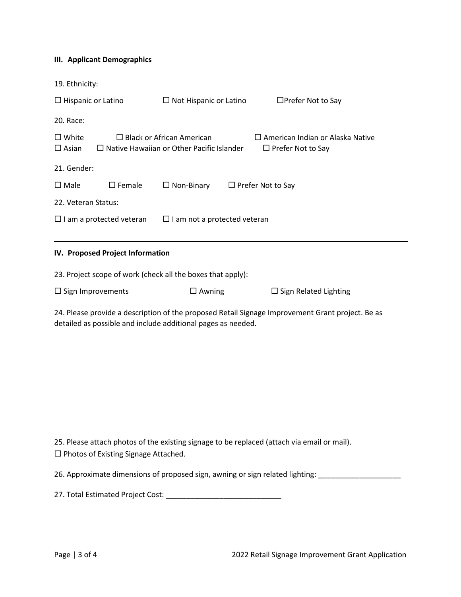| <b>III. Applicant Demographics</b>                                                                                                                               |                                                                                      |                                                                     |  |  |  |  |
|------------------------------------------------------------------------------------------------------------------------------------------------------------------|--------------------------------------------------------------------------------------|---------------------------------------------------------------------|--|--|--|--|
| 19. Ethnicity:                                                                                                                                                   |                                                                                      |                                                                     |  |  |  |  |
| $\Box$ Hispanic or Latino                                                                                                                                        | $\Box$ Not Hispanic or Latino                                                        | $\Box$ Prefer Not to Say                                            |  |  |  |  |
| 20. Race:                                                                                                                                                        |                                                                                      |                                                                     |  |  |  |  |
| $\square$ White<br>$\square$ Asian                                                                                                                               | $\Box$ Black or African American<br>$\Box$ Native Hawaiian or Other Pacific Islander | $\Box$ American Indian or Alaska Native<br>$\Box$ Prefer Not to Say |  |  |  |  |
| 21. Gender:                                                                                                                                                      |                                                                                      |                                                                     |  |  |  |  |
| $\square$ Female<br>$\square$ Male                                                                                                                               | $\Box$ Non-Binary                                                                    | $\Box$ Prefer Not to Say                                            |  |  |  |  |
| 22. Veteran Status:                                                                                                                                              |                                                                                      |                                                                     |  |  |  |  |
| $\Box$ I am a protected veteran<br>$\Box$ I am not a protected veteran                                                                                           |                                                                                      |                                                                     |  |  |  |  |
| IV. Proposed Project Information                                                                                                                                 |                                                                                      |                                                                     |  |  |  |  |
| 23. Project scope of work (check all the boxes that apply):                                                                                                      |                                                                                      |                                                                     |  |  |  |  |
| $\Box$ Sign Improvements                                                                                                                                         | $\Box$ Awning                                                                        | $\Box$ Sign Related Lighting                                        |  |  |  |  |
| 24. Please provide a description of the proposed Retail Signage Improvement Grant project. Be as<br>detailed as possible and include additional pages as needed. |                                                                                      |                                                                     |  |  |  |  |
|                                                                                                                                                                  |                                                                                      |                                                                     |  |  |  |  |

25. Please attach photos of the existing signage to be replaced (attach via email or mail).  $\square$  Photos of Existing Signage Attached.

26. Approximate dimensions of proposed sign, awning or sign related lighting: \_\_\_\_\_\_\_\_\_\_\_\_\_\_\_\_\_\_\_\_\_

27. Total Estimated Project Cost: \_\_\_\_\_\_\_\_\_\_\_\_\_\_\_\_\_\_\_\_\_\_\_\_\_\_\_\_